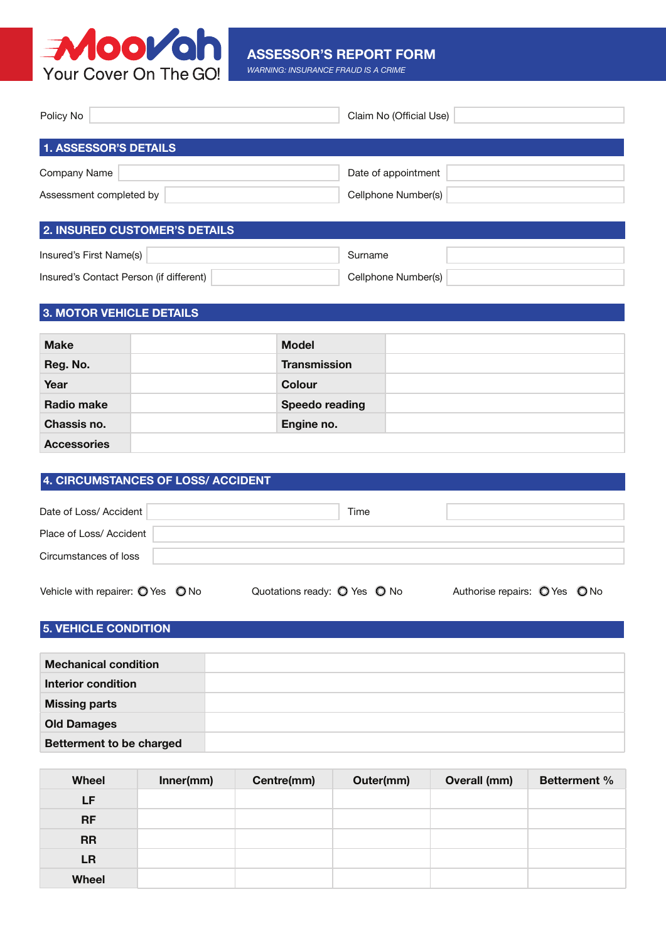

#### **ASSESSOR'S REPORT FORM**

*WARNING: INSURANCE FRAUD IS A CRIME*

| Policy No                            | Claim No (Official Use) |
|--------------------------------------|-------------------------|
| <b>1. ASSESSOR'S DETAILS</b>         |                         |
| Company Name                         | Date of appointment     |
| Assessment completed by              | Cellphone Number(s)     |
| <b>2. INSURED CUSTOMER'S DETAILS</b> |                         |

| Insured's First Name(s)                 |  |                     |  |
|-----------------------------------------|--|---------------------|--|
| Insured's Contact Person (if different) |  | Cellphone Number(s) |  |

## **3. MOTOR VEHICLE DETAILS**

| <b>Make</b>        | <b>Model</b>        |  |
|--------------------|---------------------|--|
| Reg. No.           | <b>Transmission</b> |  |
| Year               | <b>Colour</b>       |  |
| <b>Radio make</b>  | Speedo reading      |  |
| Chassis no.        | Engine no.          |  |
| <b>Accessories</b> |                     |  |

#### **4. CIRCUMSTANCES OF LOSS/ ACCIDENT**

| Date of Loss/ Accident                              |                              | Time |                               |  |
|-----------------------------------------------------|------------------------------|------|-------------------------------|--|
| Place of Loss/ Accident                             |                              |      |                               |  |
| Circumstances of loss                               |                              |      |                               |  |
| Vehicle with repairer: $\bigcirc$ Yes $\bigcirc$ No | Quotations ready: O Yes O No |      | Authorise repairs: O Yes O No |  |

### **5. VEHICLE CONDITION**

| <b>Mechanical condition</b>     |  |
|---------------------------------|--|
| Interior condition              |  |
| <b>Missing parts</b>            |  |
| <b>Old Damages</b>              |  |
| <b>Betterment to be charged</b> |  |

| <b>Wheel</b> | Inner(mm) | Centre(mm) | Outer(mm) | Overall (mm) | <b>Betterment %</b> |
|--------------|-----------|------------|-----------|--------------|---------------------|
| LF.          |           |            |           |              |                     |
| <b>RF</b>    |           |            |           |              |                     |
| <b>RR</b>    |           |            |           |              |                     |
| <b>LR</b>    |           |            |           |              |                     |
| <b>Wheel</b> |           |            |           |              |                     |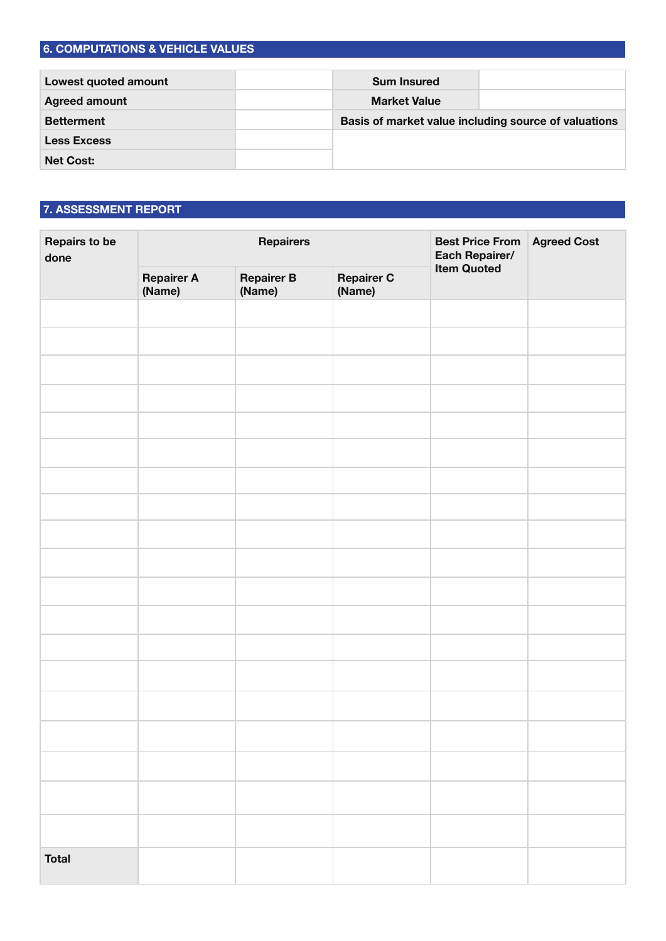## **6. COMPUTATIONS & VEHICLE VALUES**

| Lowest quoted amount | <b>Sum Insured</b>  |                                                      |
|----------------------|---------------------|------------------------------------------------------|
| <b>Agreed amount</b> | <b>Market Value</b> |                                                      |
| <b>Betterment</b>    |                     | Basis of market value including source of valuations |
| <b>Less Excess</b>   |                     |                                                      |
| <b>Net Cost:</b>     |                     |                                                      |

# **7. ASSESSMENT REPORT**

| <b>Repairs to be</b><br>done | Repairers                   |                             | <b>Best Price From</b><br>Each Repairer/<br>Item Quoted | <b>Agreed Cost</b> |  |  |
|------------------------------|-----------------------------|-----------------------------|---------------------------------------------------------|--------------------|--|--|
|                              | <b>Repairer A</b><br>(Name) | <b>Repairer B</b><br>(Name) | <b>Repairer C</b><br>(Name)                             |                    |  |  |
|                              |                             |                             |                                                         |                    |  |  |
|                              |                             |                             |                                                         |                    |  |  |
|                              |                             |                             |                                                         |                    |  |  |
|                              |                             |                             |                                                         |                    |  |  |
|                              |                             |                             |                                                         |                    |  |  |
|                              |                             |                             |                                                         |                    |  |  |
|                              |                             |                             |                                                         |                    |  |  |
|                              |                             |                             |                                                         |                    |  |  |
|                              |                             |                             |                                                         |                    |  |  |
|                              |                             |                             |                                                         |                    |  |  |
|                              |                             |                             |                                                         |                    |  |  |
|                              |                             |                             |                                                         |                    |  |  |
|                              |                             |                             |                                                         |                    |  |  |
|                              |                             |                             |                                                         |                    |  |  |
|                              |                             |                             |                                                         |                    |  |  |
|                              |                             |                             |                                                         |                    |  |  |
|                              |                             |                             |                                                         |                    |  |  |
|                              |                             |                             |                                                         |                    |  |  |
|                              |                             |                             |                                                         |                    |  |  |
| <b>Total</b>                 |                             |                             |                                                         |                    |  |  |